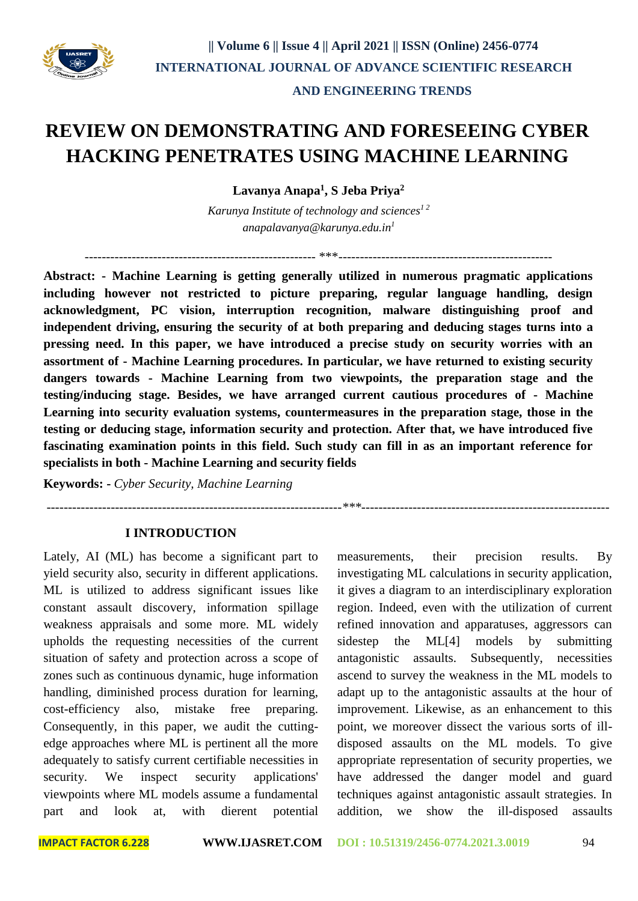

------------------------------------------------------ \*\*\*--------------------------------------------------

*---------------------------------------------------------------------\*\*\*----------------------------------------------------------*

# **REVIEW ON DEMONSTRATING AND FORESEEING CYBER HACKING PENETRATES USING MACHINE LEARNING**

**Lavanya Anapa<sup>1</sup> , S Jeba Priya<sup>2</sup>**

*Karunya Institute of technology and sciences1 2 anapalavanya@karunya.edu.in<sup>1</sup>*

**Abstract: - Machine Learning is getting generally utilized in numerous pragmatic applications including however not restricted to picture preparing, regular language handling, design acknowledgment, PC vision, interruption recognition, malware distinguishing proof and independent driving, ensuring the security of at both preparing and deducing stages turns into a pressing need. In this paper, we have introduced a precise study on security worries with an assortment of - Machine Learning procedures. In particular, we have returned to existing security dangers towards - Machine Learning from two viewpoints, the preparation stage and the testing/inducing stage. Besides, we have arranged current cautious procedures of - Machine Learning into security evaluation systems, countermeasures in the preparation stage, those in the testing or deducing stage, information security and protection. After that, we have introduced five fascinating examination points in this field. Such study can fill in as an important reference for specialists in both - Machine Learning and security fields**

**Keywords: -** *Cyber Security, Machine Learning* 

#### **I INTRODUCTION**

Lately, AI (ML) has become a significant part to yield security also, security in different applications. ML is utilized to address significant issues like constant assault discovery, information spillage weakness appraisals and some more. ML widely upholds the requesting necessities of the current situation of safety and protection across a scope of zones such as continuous dynamic, huge information handling, diminished process duration for learning, cost-efficiency also, mistake free preparing. Consequently, in this paper, we audit the cuttingedge approaches where ML is pertinent all the more adequately to satisfy current certifiable necessities in security. We inspect security applications' viewpoints where ML models assume a fundamental part and look at, with dierent potential

measurements, their precision results. By investigating ML calculations in security application, it gives a diagram to an interdisciplinary exploration region. Indeed, even with the utilization of current refined innovation and apparatuses, aggressors can sidestep the ML[4] models by submitting antagonistic assaults. Subsequently, necessities ascend to survey the weakness in the ML models to adapt up to the antagonistic assaults at the hour of improvement. Likewise, as an enhancement to this point, we moreover dissect the various sorts of illdisposed assaults on the ML models. To give appropriate representation of security properties, we have addressed the danger model and guard techniques against antagonistic assault strategies. In addition, we show the ill-disposed assaults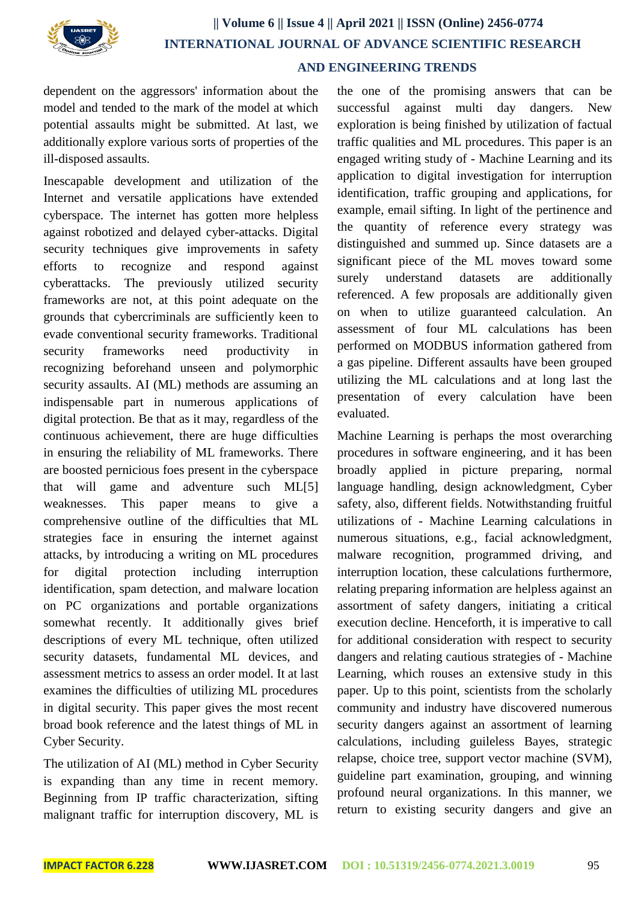

# **|| Volume 6 || Issue 4 || April 2021 || ISSN (Online) 2456-0774 INTERNATIONAL JOURNAL OF ADVANCE SCIENTIFIC RESEARCH AND ENGINEERING TRENDS**

dependent on the aggressors' information about the model and tended to the mark of the model at which potential assaults might be submitted. At last, we additionally explore various sorts of properties of the ill-disposed assaults.

Inescapable development and utilization of the Internet and versatile applications have extended cyberspace. The internet has gotten more helpless against robotized and delayed cyber-attacks. Digital security techniques give improvements in safety efforts to recognize and respond against cyberattacks. The previously utilized security frameworks are not, at this point adequate on the grounds that cybercriminals are sufficiently keen to evade conventional security frameworks. Traditional security frameworks need productivity in recognizing beforehand unseen and polymorphic security assaults. AI (ML) methods are assuming an indispensable part in numerous applications of digital protection. Be that as it may, regardless of the continuous achievement, there are huge difficulties in ensuring the reliability of ML frameworks. There are boosted pernicious foes present in the cyberspace that will game and adventure such ML[5] weaknesses. This paper means to give a comprehensive outline of the difficulties that ML strategies face in ensuring the internet against attacks, by introducing a writing on ML procedures for digital protection including interruption identification, spam detection, and malware location on PC organizations and portable organizations somewhat recently. It additionally gives brief descriptions of every ML technique, often utilized security datasets, fundamental ML devices, and assessment metrics to assess an order model. It at last examines the difficulties of utilizing ML procedures in digital security. This paper gives the most recent broad book reference and the latest things of ML in Cyber Security.

The utilization of AI (ML) method in Cyber Security is expanding than any time in recent memory. Beginning from IP traffic characterization, sifting malignant traffic for interruption discovery, ML is

the one of the promising answers that can be successful against multi day dangers. New exploration is being finished by utilization of factual traffic qualities and ML procedures. This paper is an engaged writing study of - Machine Learning and its application to digital investigation for interruption identification, traffic grouping and applications, for example, email sifting. In light of the pertinence and the quantity of reference every strategy was distinguished and summed up. Since datasets are a significant piece of the ML moves toward some surely understand datasets are additionally referenced. A few proposals are additionally given on when to utilize guaranteed calculation. An assessment of four ML calculations has been performed on MODBUS information gathered from a gas pipeline. Different assaults have been grouped utilizing the ML calculations and at long last the presentation of every calculation have been evaluated.

Machine Learning is perhaps the most overarching procedures in software engineering, and it has been broadly applied in picture preparing, normal language handling, design acknowledgment, Cyber safety, also, different fields. Notwithstanding fruitful utilizations of - Machine Learning calculations in numerous situations, e.g., facial acknowledgment, malware recognition, programmed driving, and interruption location, these calculations furthermore, relating preparing information are helpless against an assortment of safety dangers, initiating a critical execution decline. Henceforth, it is imperative to call for additional consideration with respect to security dangers and relating cautious strategies of - Machine Learning, which rouses an extensive study in this paper. Up to this point, scientists from the scholarly community and industry have discovered numerous security dangers against an assortment of learning calculations, including guileless Bayes, strategic relapse, choice tree, support vector machine (SVM), guideline part examination, grouping, and winning profound neural organizations. In this manner, we return to existing security dangers and give an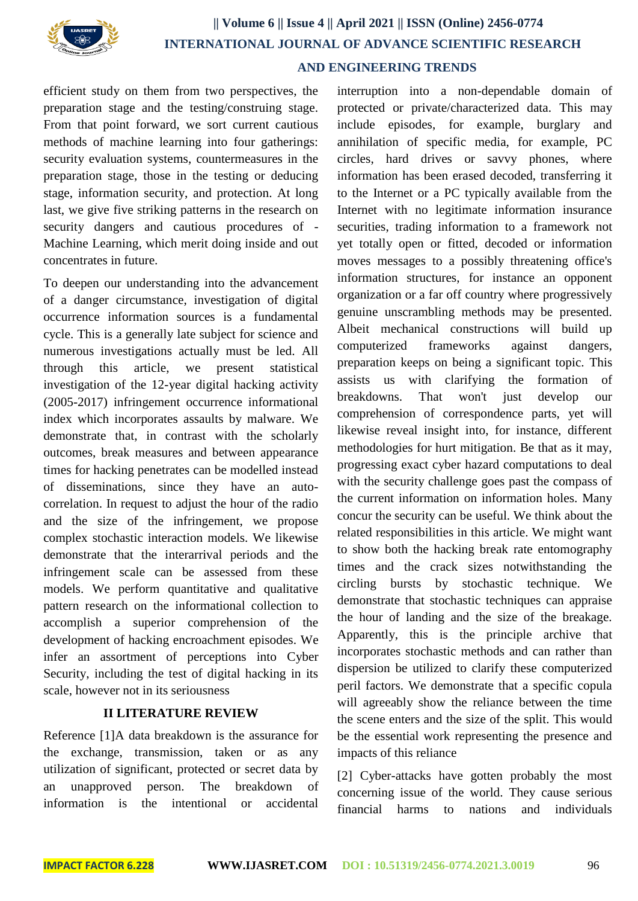

# **|| Volume 6 || Issue 4 || April 2021 || ISSN (Online) 2456-0774 INTERNATIONAL JOURNAL OF ADVANCE SCIENTIFIC RESEARCH AND ENGINEERING TRENDS**

efficient study on them from two perspectives, the preparation stage and the testing/construing stage. From that point forward, we sort current cautious methods of machine learning into four gatherings: security evaluation systems, countermeasures in the preparation stage, those in the testing or deducing stage, information security, and protection. At long last, we give five striking patterns in the research on security dangers and cautious procedures of - Machine Learning, which merit doing inside and out concentrates in future.

To deepen our understanding into the advancement of a danger circumstance, investigation of digital occurrence information sources is a fundamental cycle. This is a generally late subject for science and numerous investigations actually must be led. All through this article, we present statistical investigation of the 12-year digital hacking activity (2005-2017) infringement occurrence informational index which incorporates assaults by malware. We demonstrate that, in contrast with the scholarly outcomes, break measures and between appearance times for hacking penetrates can be modelled instead of disseminations, since they have an autocorrelation. In request to adjust the hour of the radio and the size of the infringement, we propose complex stochastic interaction models. We likewise demonstrate that the interarrival periods and the infringement scale can be assessed from these models. We perform quantitative and qualitative pattern research on the informational collection to accomplish a superior comprehension of the development of hacking encroachment episodes. We infer an assortment of perceptions into Cyber Security, including the test of digital hacking in its scale, however not in its seriousness

### **II LITERATURE REVIEW**

Reference [1]A data breakdown is the assurance for the exchange, transmission, taken or as any utilization of significant, protected or secret data by an unapproved person. The breakdown of information is the intentional or accidental

interruption into a non-dependable domain of protected or private/characterized data. This may include episodes, for example, burglary and annihilation of specific media, for example, PC circles, hard drives or savvy phones, where information has been erased decoded, transferring it to the Internet or a PC typically available from the Internet with no legitimate information insurance securities, trading information to a framework not yet totally open or fitted, decoded or information moves messages to a possibly threatening office's information structures, for instance an opponent organization or a far off country where progressively genuine unscrambling methods may be presented. Albeit mechanical constructions will build up computerized frameworks against dangers, preparation keeps on being a significant topic. This assists us with clarifying the formation of breakdowns. That won't just develop our comprehension of correspondence parts, yet will likewise reveal insight into, for instance, different methodologies for hurt mitigation. Be that as it may, progressing exact cyber hazard computations to deal with the security challenge goes past the compass of the current information on information holes. Many concur the security can be useful. We think about the related responsibilities in this article. We might want to show both the hacking break rate entomography times and the crack sizes notwithstanding the circling bursts by stochastic technique. We demonstrate that stochastic techniques can appraise the hour of landing and the size of the breakage. Apparently, this is the principle archive that incorporates stochastic methods and can rather than dispersion be utilized to clarify these computerized peril factors. We demonstrate that a specific copula will agreeably show the reliance between the time the scene enters and the size of the split. This would be the essential work representing the presence and impacts of this reliance

[2] Cyber-attacks have gotten probably the most concerning issue of the world. They cause serious financial harms to nations and individuals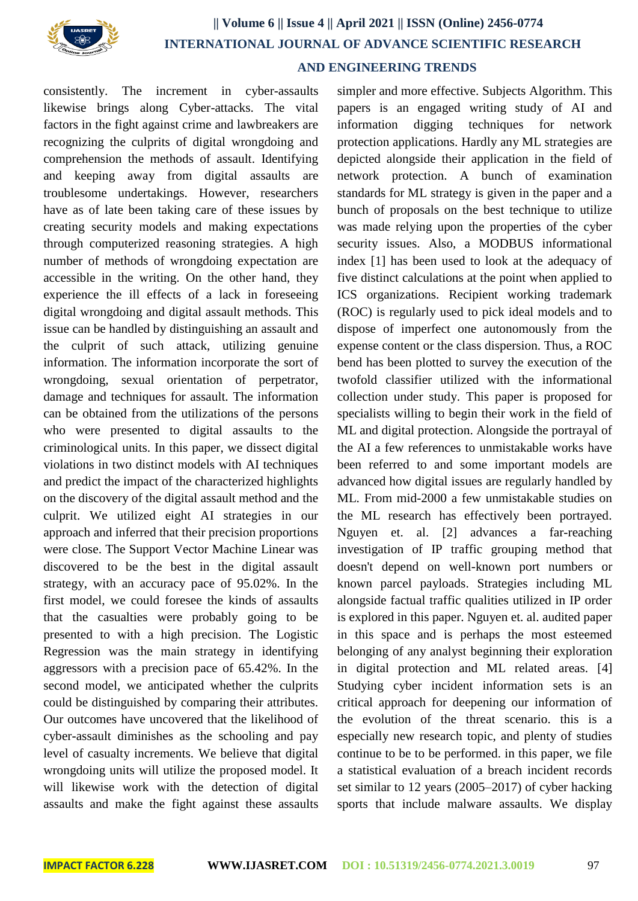

# **|| Volume 6 || Issue 4 || April 2021 || ISSN (Online) 2456-0774 INTERNATIONAL JOURNAL OF ADVANCE SCIENTIFIC RESEARCH**

## **AND ENGINEERING TRENDS**

consistently. The increment in cyber-assaults likewise brings along Cyber-attacks. The vital factors in the fight against crime and lawbreakers are recognizing the culprits of digital wrongdoing and comprehension the methods of assault. Identifying and keeping away from digital assaults are troublesome undertakings. However, researchers have as of late been taking care of these issues by creating security models and making expectations through computerized reasoning strategies. A high number of methods of wrongdoing expectation are accessible in the writing. On the other hand, they experience the ill effects of a lack in foreseeing digital wrongdoing and digital assault methods. This issue can be handled by distinguishing an assault and the culprit of such attack, utilizing genuine information. The information incorporate the sort of wrongdoing, sexual orientation of perpetrator, damage and techniques for assault. The information can be obtained from the utilizations of the persons who were presented to digital assaults to the criminological units. In this paper, we dissect digital violations in two distinct models with AI techniques and predict the impact of the characterized highlights on the discovery of the digital assault method and the culprit. We utilized eight AI strategies in our approach and inferred that their precision proportions were close. The Support Vector Machine Linear was discovered to be the best in the digital assault strategy, with an accuracy pace of 95.02%. In the first model, we could foresee the kinds of assaults that the casualties were probably going to be presented to with a high precision. The Logistic Regression was the main strategy in identifying aggressors with a precision pace of 65.42%. In the second model, we anticipated whether the culprits could be distinguished by comparing their attributes. Our outcomes have uncovered that the likelihood of cyber-assault diminishes as the schooling and pay level of casualty increments. We believe that digital wrongdoing units will utilize the proposed model. It will likewise work with the detection of digital assaults and make the fight against these assaults

simpler and more effective. Subjects Algorithm. This papers is an engaged writing study of AI and information digging techniques for network protection applications. Hardly any ML strategies are depicted alongside their application in the field of network protection. A bunch of examination standards for ML strategy is given in the paper and a bunch of proposals on the best technique to utilize was made relying upon the properties of the cyber security issues. Also, a MODBUS informational index [1] has been used to look at the adequacy of five distinct calculations at the point when applied to ICS organizations. Recipient working trademark (ROC) is regularly used to pick ideal models and to dispose of imperfect one autonomously from the expense content or the class dispersion. Thus, a ROC bend has been plotted to survey the execution of the twofold classifier utilized with the informational collection under study. This paper is proposed for specialists willing to begin their work in the field of ML and digital protection. Alongside the portrayal of the AI a few references to unmistakable works have been referred to and some important models are advanced how digital issues are regularly handled by ML. From mid-2000 a few unmistakable studies on the ML research has effectively been portrayed. Nguyen et. al. [2] advances a far-reaching investigation of IP traffic grouping method that doesn't depend on well-known port numbers or known parcel payloads. Strategies including ML alongside factual traffic qualities utilized in IP order is explored in this paper. Nguyen et. al. audited paper in this space and is perhaps the most esteemed belonging of any analyst beginning their exploration in digital protection and ML related areas. [4] Studying cyber incident information sets is an critical approach for deepening our information of the evolution of the threat scenario. this is a especially new research topic, and plenty of studies continue to be to be performed. in this paper, we file a statistical evaluation of a breach incident records set similar to 12 years (2005–2017) of cyber hacking sports that include malware assaults. We display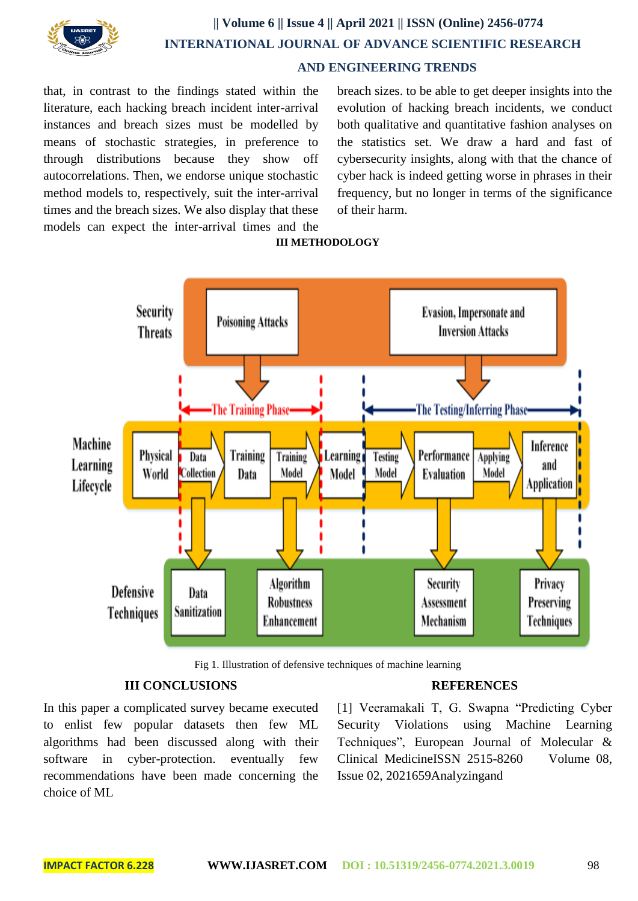

# **|| Volume 6 || Issue 4 || April 2021 || ISSN (Online) 2456-0774 INTERNATIONAL JOURNAL OF ADVANCE SCIENTIFIC RESEARCH AND ENGINEERING TRENDS**

that, in contrast to the findings stated within the literature, each hacking breach incident inter-arrival instances and breach sizes must be modelled by means of stochastic strategies, in preference to through distributions because they show off autocorrelations. Then, we endorse unique stochastic method models to, respectively, suit the inter-arrival times and the breach sizes. We also display that these models can expect the inter-arrival times and the breach sizes. to be able to get deeper insights into the evolution of hacking breach incidents, we conduct both qualitative and quantitative fashion analyses on the statistics set. We draw a hard and fast of cybersecurity insights, along with that the chance of cyber hack is indeed getting worse in phrases in their frequency, but no longer in terms of the significance of their harm.



### **III METHODOLOGY**

Fig 1. Illustration of defensive techniques of machine learning

#### **III CONCLUSIONS**

In this paper a complicated survey became executed to enlist few popular datasets then few ML algorithms had been discussed along with their software in cyber-protection. eventually few recommendations have been made concerning the choice of ML

#### **REFERENCES**

[1] Veeramakali T, G. Swapna "Predicting Cyber Security Violations using Machine Learning Techniques", European Journal of Molecular & Clinical MedicineISSN 2515-8260 Volume 08, Issue 02, 2021659Analyzingand